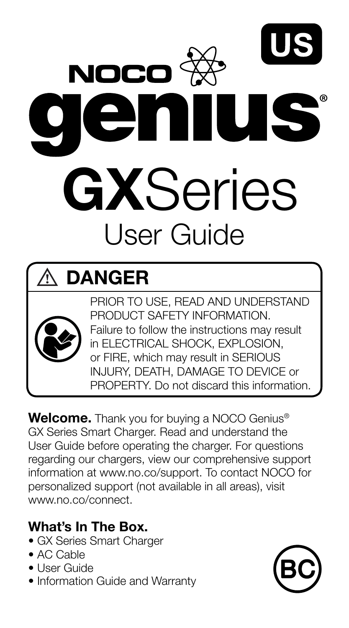

### DANGER



PRIOR TO USE, READ AND UNDERSTAND PRODUCT SAFETY INFORMATION. Failure to follow the instructions may result in ELECTRICAL SHOCK, EXPLOSION, or FIRE, which may result in SERIOUS INJURY, DEATH, DAMAGE TO DEVICE or PROPERTY. Do not discard this information.

Welcome. Thank you for buying a NOCO Genius<sup>®</sup> GX Series Smart Charger. Read and understand the User Guide before operating the charger. For questions regarding our chargers, view our comprehensive support information at www.no.co/support. To contact NOCO for personalized support (not available in all areas), visit www.no.co/connect.

#### What's In The Box.

- GX Series Smart Charger
- AC Cable
- User Guide
- Information Guide and Warranty

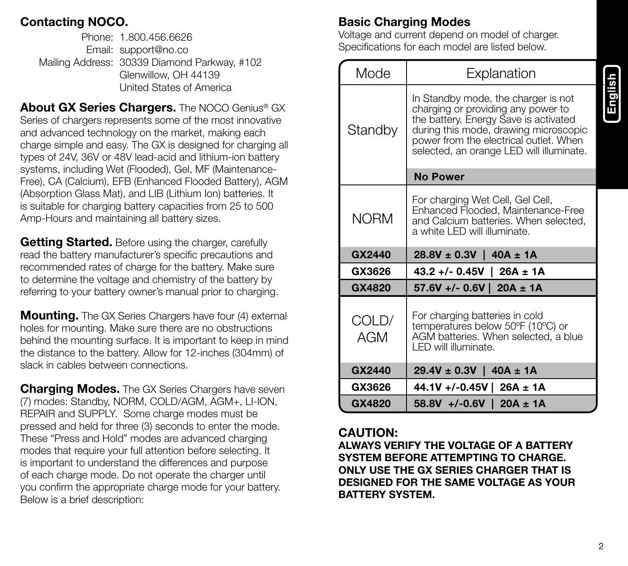#### Contacting NOCO.

Phone: 1.800.456.6626 Email: support@no.co Mailing Address: 30339 Diamond Parkway, #102 Glenwillow, OH 44139 United States of America

About GX Series Chargers. The NOCO Genius® GX Series of chargers represents some of the most innovative and advanced technology on the market, making each charge simple and easy. The GX is designed for charging all types of 24V, 36V or 48V lead-acid and lithium-ion battery systems, including Wet (Flooded), Gel, MF (Maintenance-Free), CA (Calcium), EFB (Enhanced Flooded Battery), AGM (Absorption Glass Mat), and LIB (Lithium Ion) batteries. It is suitable for charging battery capacities from 25 to 500 Amp-Hours and maintaining all battery sizes.

Getting Started. Before using the charger, carefully read the battery manufacturer's specific precautions and recommended rates of charge for the battery. Make sure to determine the voltage and chemistry of the battery by referring to your battery owner's manual prior to charging.

**Mounting.** The GX Series Chargers have four (4) external holes for mounting. Make sure there are no obstructions behind the mounting surface. It is important to keep in mind the distance to the battery. Allow for 12-inches (304mm) of slack in cables between connections.

**Charging Modes.** The GX Series Chargers have seven (7) modes: Standby, NORM, COLD/AGM, AGM+, LI-ION, REPAIR and SUPPLY. Some charge modes must be pressed and held for three (3) seconds to enter the mode. These "Press and Hold" modes are advanced charging modes that require your full attention before selecting. It is important to understand the differences and purpose of each charge mode. Do not operate the charger until you confirm the appropriate charge mode for your battery. Below is a brief description:

#### Basic Charging Modes

Voltage and current depend on model of charger. Specifications for each model are listed below.

| Mode         | Explanation                                                                                                                                                                                                                                       |
|--------------|---------------------------------------------------------------------------------------------------------------------------------------------------------------------------------------------------------------------------------------------------|
| Standby      | In Standby mode, the charger is not<br>charging or providing any power to<br>the battery. Energy Save is activated<br>during this mode, drawing microscopic<br>power from the electrical outlet. When<br>selected, an orange LED will illuminate. |
|              | <b>No Power</b>                                                                                                                                                                                                                                   |
| <b>NORM</b>  | For charging Wet Cell, Gel Cell,<br>Enhanced Flooded, Maintenance-Free<br>and Calcium batteries. When selected,<br>a white I FD will illuminate.                                                                                                  |
|              |                                                                                                                                                                                                                                                   |
| GX2440       | $28.8V \pm 0.3V$   40A $\pm$ 1A                                                                                                                                                                                                                   |
| GX3626       | $43.2 + (-0.45V)$ 26A ± 1A                                                                                                                                                                                                                        |
| GX4820       | $57.6V +/- 0.6V$   20A ± 1A                                                                                                                                                                                                                       |
| COLD/<br>AGM | For charging batteries in cold<br>temperatures below 50°F (10°C) or<br>AGM batteries. When selected, a blue<br>I FD will illuminate.                                                                                                              |
| GX2440       | $29.4V \pm 0.3V$   40A $\pm$ 1A                                                                                                                                                                                                                   |
| GX3626       | 44.1V +/-0.45V   26A ± 1A                                                                                                                                                                                                                         |

#### CAUTION:

ALWAYS VERIFY THE VOLTAGE OF A BATTERY SYSTEM BEFORE ATTEMPTING TO CHARGE. ONLY USE THE GX SERIES CHARGER THAT IS DESIGNED FOR THE SAME VOLTAGE AS YOUR BATTERY SYSTEM.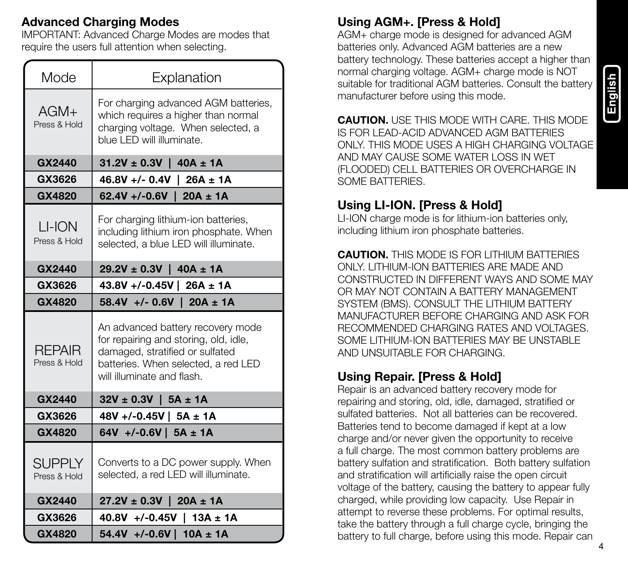#### Advanced Charging Modes

IMPORTANT: Advanced Charge Modes are modes that require the users full attention when selecting.

| Mode                          | Explanation                                                                                                                                                                        |  |
|-------------------------------|------------------------------------------------------------------------------------------------------------------------------------------------------------------------------------|--|
| $AGM+$<br>Press & Hold        | For charging advanced AGM batteries,<br>which requires a higher than normal<br>charging voltage. When selected, a<br>blue I FD will illuminate.                                    |  |
| GX2440                        | $31.2V \pm 0.3V$   40A $\pm$ 1A                                                                                                                                                    |  |
| GX3626                        | $46.8V +/- 0.4V$   26A ± 1A                                                                                                                                                        |  |
| GX4820                        | 62.4V +/-0.6V   20A ± 1A                                                                                                                                                           |  |
| LI-ION<br>Press & Hold        | For charging lithium-ion batteries,<br>including lithium iron phosphate. When<br>selected, a blue LED will illuminate.                                                             |  |
| GX2440                        | $29.2V \pm 0.3V$   40A $\pm$ 1A                                                                                                                                                    |  |
| GX3626                        | 43.8V +/-0.45V   26A ± 1A                                                                                                                                                          |  |
| GX4820                        | 58.4V +/- 0.6V   20A ± 1A                                                                                                                                                          |  |
| <b>RFPAIR</b><br>Press & Hold | An advanced battery recovery mode<br>for repairing and storing, old, idle,<br>damaged, stratified or sulfated<br>batteries. When selected, a red LED<br>will illuminate and flash. |  |
| GX2440                        | $32V \pm 0.3V$   5A $\pm$ 1A                                                                                                                                                       |  |
| GX3626                        | 48V +/-0.45V   5A ± 1A                                                                                                                                                             |  |
| GX4820                        | 64V +/-0.6V   5A ± 1A                                                                                                                                                              |  |
| SUPPLY<br>Press & Hold        | Converts to a DC power supply. When<br>selected, a red LED will illuminate.                                                                                                        |  |
| GX2440                        | $27.2V \pm 0.3V$   20A $\pm$ 1A                                                                                                                                                    |  |
|                               |                                                                                                                                                                                    |  |
| GX3626                        | 40.8V +/-0.45V   13A ± 1A                                                                                                                                                          |  |

#### Using AGM+. [Press & Hold]

AGM+ charge mode is designed for advanced AGM batteries only. Advanced AGM batteries are a new battery technology. These batteries accept a higher than normal charging voltage. AGM+ charge mode is NOT suitable for traditional AGM batteries. Consult the battery manufacturer before using this mode.

CAUTION. USE THIS MODE WITH CARE. THIS MODE IS FOR LEAD-ACID ADVANCED AGM BATTERIES ONLY. THIS MODE USES A HIGH CHARGING VOLTAGE AND MAY CAUSE SOME WATER LOSS IN WET (FLOODED) CELL BATTERIES OR OVERCHARGE IN SOME BATTERIES.

#### Using LI-ION. [Press & Hold]

LI-ION charge mode is for lithium-ion batteries only, including lithium iron phosphate batteries.

CAUTION. THIS MODE IS FOR LITHIUM BATTERIES. ONLY. LITHIUM-ION BATTERIES ARE MADE AND CONSTRUCTED IN DIFFERENT WAYS AND SOME MAY OR MAY NOT CONTAIN A BATTERY MANAGEMENT SYSTEM (BMS). CONSULT THE LITHIUM BATTERY MANUFACTURER BEFORE CHARGING AND ASK FOR RECOMMENDED CHARGING RATES AND VOLTAGES. SOME LITHIUM-ION BATTERIES MAY BE UNSTABLE AND UNSUITABLE FOR CHARGING.

#### Using Repair. [Press & Hold]

Repair is an advanced battery recovery mode for repairing and storing, old, idle, damaged, stratified or sulfated batteries. Not all batteries can be recovered. Batteries tend to become damaged if kept at a low charge and/or never given the opportunity to receive a full charge. The most common battery problems are battery sulfation and stratification. Both battery sulfation and stratification will artificially raise the open circuit voltage of the battery, causing the battery to appear fully charged, while providing low capacity. Use Repair in attempt to reverse these problems. For optimal results, take the battery through a full charge cycle, bringing the battery to full charge, before using this mode. Repair can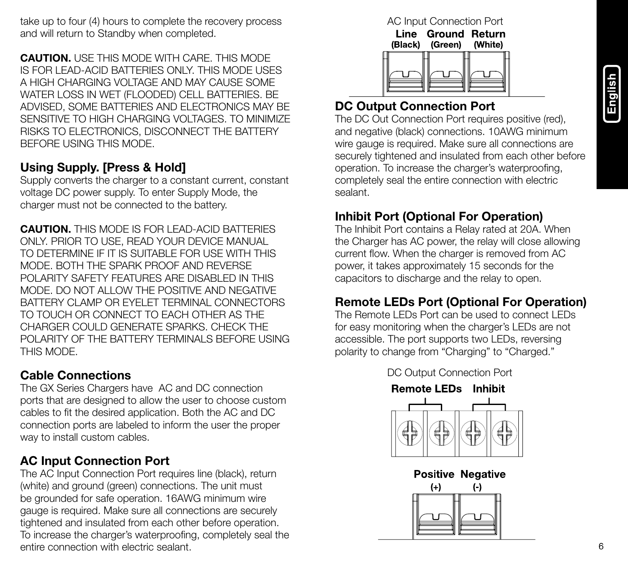take up to four (4) hours to complete the recovery process and will return to Standby when completed.

CAUTION. USE THIS MODE WITH CARE. THIS MODE IS FOR LEAD-ACID BATTERIES ONLY. THIS MODE USES A HIGH CHARGING VOLTAGE AND MAY CAUSE SOME WATER LOSS IN WET (FLOODED) CELL BATTERIES. BE ADVISED, SOME BATTERIES AND ELECTRONICS MAY BE SENSITIVE TO HIGH CHARGING VOLTAGES. TO MINIMIZE RISKS TO ELECTRONICS, DISCONNECT THE BATTERY BEFORE USING THIS MODE.

#### Using Supply. [Press & Hold]

Supply converts the charger to a constant current, constant voltage DC power supply. To enter Supply Mode, the charger must not be connected to the battery.

CAUTION. THIS MODE IS FOR LEAD-ACID BATTERIES ONLY. PRIOR TO USE, READ YOUR DEVICE MANUAL TO DETERMINE IF IT IS SUITABLE FOR USE WITH THIS MODE. BOTH THE SPARK PROOF AND REVERSE POLARITY SAFETY FEATURES ARE DISABLED IN THIS MODE. DO NOT ALLOW THE POSITIVE AND NEGATIVE BATTERY CLAMP OR EYELET TERMINAL CONNECTORS TO TOUCH OR CONNECT TO EACH OTHER AS THE CHARGER COULD GENERATE SPARKS. CHECK THE POLARITY OF THE BATTERY TERMINALS BEFORE USING THIS MODE.

#### Cable Connections

The GX Series Chargers have AC and DC connection ports that are designed to allow the user to choose custom cables to fit the desired application. Both the AC and DC connection ports are labeled to inform the user the proper way to install custom cables.

#### AC Input Connection Port

The AC Input Connection Port requires line (black), return (white) and ground (green) connections. The unit must be grounded for safe operation. 16AWG minimum wire gauge is required. Make sure all connections are securely tightened and insulated from each other before operation. To increase the charger's waterproofing, completely seal the entire connection with electric sealant.

#### AC Input Connection Port

Line Ground Return (Black) (Green) (White)



#### DC Output Connection Port

The DC Out Connection Port requires positive (red), and negative (black) connections. 10AWG minimum wire gauge is required. Make sure all connections are securely tightened and insulated from each other before operation. To increase the charger's waterproofing, completely seal the entire connection with electric sealant.

#### Inhibit Port (Optional For Operation)

The Inhibit Port contains a Relay rated at 20A. When the Charger has AC power, the relay will close allowing current flow. When the charger is removed from AC power, it takes approximately 15 seconds for the capacitors to discharge and the relay to open.

#### Remote LEDs Port (Optional For Operation)

The Remote LEDs Port can be used to connect LEDs for easy monitoring when the charger's LEDs are not accessible. The port supports two LEDs, reversing polarity to change from "Charging" to "Charged."





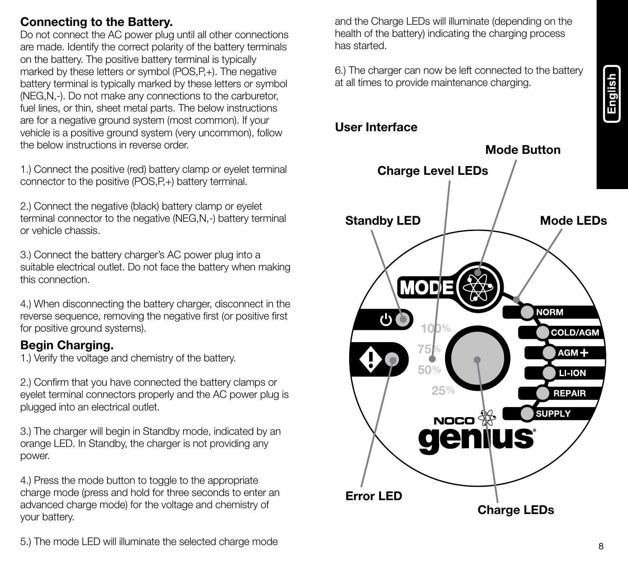# English

#### Connecting to the Battery.

Do not connect the AC power plug until all other connections are made. Identify the correct polarity of the battery terminals on the battery. The positive battery terminal is typically marked by these letters or symbol (POS,P,+). The negative battery terminal is typically marked by these letters or symbol (NEG,N,-). Do not make any connections to the carburetor, fuel lines, or thin, sheet metal parts. The below instructions are for a negative ground system (most common). If your vehicle is a positive ground system (very uncommon), follow the below instructions in reverse order.

1.) Connect the positive (red) battery clamp or eyelet terminal connector to the positive (POS, P+) battery terminal.

2.) Connect the negative (black) battery clamp or eyelet terminal connector to the negative (NEG,N,-) battery terminal or vehicle chassis.

3.) Connect the battery charger's AC power plug into a suitable electrical outlet. Do not face the battery when making this connection.

4.) When disconnecting the battery charger, disconnect in the reverse sequence, removing the negative first (or positive first for positive ground systems).

#### Begin Charging.

1.) Verify the voltage and chemistry of the battery.

2.) Confirm that you have connected the battery clamps or eyelet terminal connectors properly and the AC power plug is plugged into an electrical outlet.

3.) The charger will begin in Standby mode, indicated by an orange LED. In Standby, the charger is not providing any power.

4.) Press the mode button to toggle to the appropriate charge mode (press and hold for three seconds to enter an advanced charge mode) for the voltage and chemistry of your battery.

and the Charge LEDs will illuminate (depending on the health of the battery) indicating the charging process has started.

6.) The charger can now be left connected to the battery at all times to provide maintenance charging.

#### User Interface



5.) The mode LED will illuminate the selected charge mode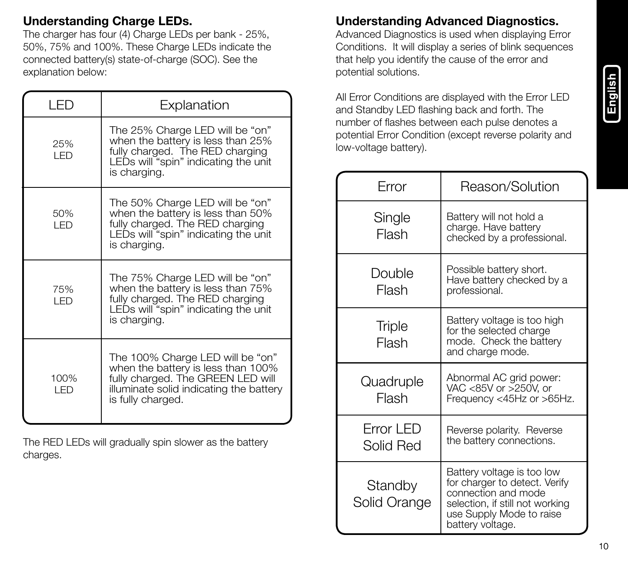# English

#### Understanding Charge LEDs.

The charger has four (4) Charge LEDs per bank - 25%, 50%, 75% and 100%. These Charge LEDs indicate the connected battery(s) state-of-charge (SOC). See the explanation below:

| I ED         | Explanation                                                                                                                                                                 |
|--------------|-----------------------------------------------------------------------------------------------------------------------------------------------------------------------------|
| 25%<br>I FD  | The 25% Charge LED will be "on"<br>when the battery is less than 25%<br>fully charged. The RED charging<br>LEDs will "spin" indicating the unit<br>is charging.             |
| 50%<br>I FD  | The 50% Charge LED will be "on"<br>when the battery is less than 50%<br>fully charged. The RED charging<br>LEDs will "spin" indicating the unit<br>is charging.             |
| 75%<br>I FD  | The 75% Charge LED will be "on"<br>when the battery is less than 75%<br>fully charged. The RED charging<br>LEDs will "spin" indicating the unit<br>is charging.             |
| 100%<br>I ED | The 100% Charge LED will be "on"<br>when the battery is less than 100%<br>fully charged. The GREEN LED will<br>illuminate solid indicating the battery<br>is fully charged. |

The RED LEDs will gradually spin slower as the battery charges.

#### Understanding Advanced Diagnostics.

Advanced Diagnostics is used when displaying Error Conditions. It will display a series of blink sequences that help you identify the cause of the error and potential solutions.

All Error Conditions are displayed with the Error LED and Standby LED flashing back and forth. The number of flashes between each pulse denotes a potential Error Condition (except reverse polarity and low-voltage battery).

| Error                   | Reason/Solution                                                                                                                                                       |
|-------------------------|-----------------------------------------------------------------------------------------------------------------------------------------------------------------------|
| Single<br>Flash         | Battery will not hold a<br>charge. Have battery<br>checked by a professional.                                                                                         |
| Double<br>Flash         | Possible battery short.<br>Have battery checked by a<br>professional.                                                                                                 |
| <b>Triple</b><br>Flash  | Battery voltage is too high<br>for the selected charge<br>mode. Check the battery<br>and charge mode.                                                                 |
| Quadruple<br>Flash      | Abnormal AC grid power:<br>VAC <85V or >250V, or<br>Frequency <45Hz or >65Hz.                                                                                         |
| Error LED<br>Solid Red  | Reverse polarity. Reverse<br>the battery connections.                                                                                                                 |
| Standby<br>Solid Orange | Battery voltage is too low<br>for charger to detect. Verify<br>connection and mode<br>selection, if still not working<br>use Supply Mode to raise<br>battery voltage. |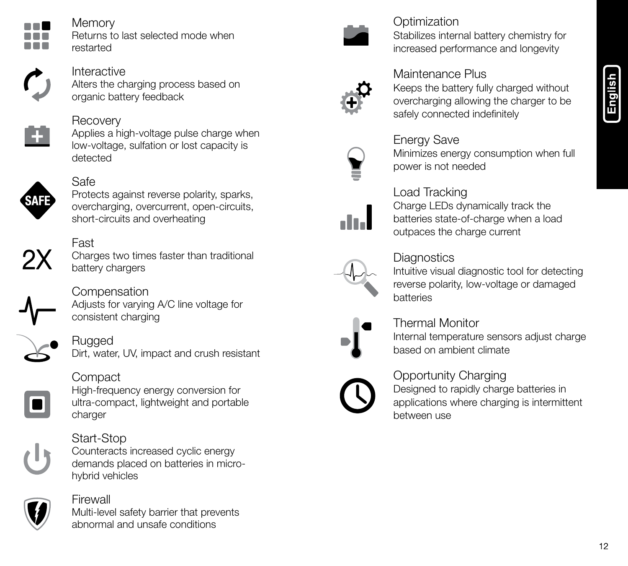

**Memory** Returns to last selected mode when restarted



Interactive Alters the charging process based on organic battery feedback



#### **Recovery**

Applies a high-voltage pulse charge when low-voltage, sulfation or lost capacity is detected



#### Safe

Protects against reverse polarity, sparks, overcharging, overcurrent, open-circuits, short-circuits and overheating



Fast Charges two times faster than traditional battery chargers



**Compensation** Adjusts for varying A/C line voltage for consistent charging



#### Rugged

Dirt, water, UV, impact and crush resistant



#### Compact

High-frequency energy conversion for ultra-compact, lightweight and portable charger



#### Start-Stop Counteracts increased cyclic energy

demands placed on batteries in microhybrid vehicles



## Firewall

Multi-level safety barrier that prevents abnormal and unsafe conditions



#### **Optimization** Stabilizes internal battery chemistry for increased performance and longevity



#### Maintenance Plus

Keeps the battery fully charged without overcharging allowing the charger to be safely connected indefinitely



#### Energy Save Minimizes energy consumption when full power is not needed



#### Load Tracking

Charge LEDs dynamically track the batteries state-of-charge when a load outpaces the charge current



#### **Diagnostics**

Intuitive visual diagnostic tool for detecting reverse polarity, low-voltage or damaged batteries



#### Thermal Monitor

Internal temperature sensors adjust charge based on ambient climate

#### Opportunity Charging

Designed to rapidly charge batteries in applications where charging is intermittent between use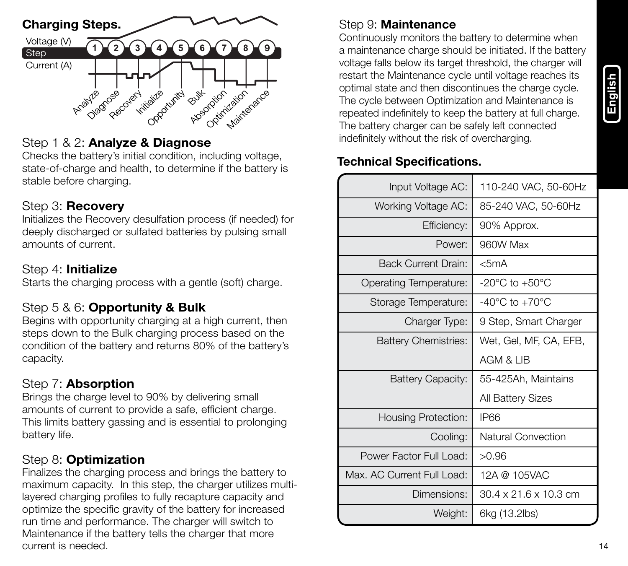

#### Step 1 & 2: Analyze & Diagnose

Checks the battery's initial condition, including voltage, state-of-charge and health, to determine if the battery is stable before charging.

#### Step 3: Recovery

Initializes the Recovery desulfation process (if needed) for deeply discharged or sulfated batteries by pulsing small amounts of current.

#### Step 4: Initialize

Starts the charging process with a gentle (soft) charge.

#### Step 5 & 6: Opportunity & Bulk

Begins with opportunity charging at a high current, then steps down to the Bulk charging process based on the condition of the battery and returns 80% of the battery's capacity.

#### Step 7: Absorption

Brings the charge level to 90% by delivering small amounts of current to provide a safe, efficient charge. This limits battery gassing and is essential to prolonging battery life.

#### Step 8: Optimization

Finalizes the charging process and brings the battery to maximum capacity. In this step, the charger utilizes multilayered charging profiles to fully recapture capacity and optimize the specific gravity of the battery for increased run time and performance. The charger will switch to Maintenance if the battery tells the charger that more current is needed.

#### Step 9: Maintenance

Continuously monitors the battery to determine when a maintenance charge should be initiated. If the battery voltage falls below its target threshold, the charger will restart the Maintenance cycle until voltage reaches its optimal state and then discontinues the charge cycle. The cycle between Optimization and Maintenance is repeated indefinitely to keep the battery at full charge. The battery charger can be safely left connected indefinitely without the risk of overcharging.

#### Technical Specifications.

| Input Voltage AC:           | 110-240 VAC, 50-60Hz               |
|-----------------------------|------------------------------------|
| Working Voltage AC:         | 85-240 VAC, 50-60Hz                |
| Efficiency:                 | 90% Approx.                        |
| Power:                      | 960W Max                           |
| <b>Back Current Drain:</b>  | $<$ 5mA                            |
| Operating Temperature:      | $-20^{\circ}$ C to $+50^{\circ}$ C |
| Storage Temperature:        | $-40^{\circ}$ C to $+70^{\circ}$ C |
| Charger Type:               | 9 Step, Smart Charger              |
| <b>Battery Chemistries:</b> | Wet. Gel. MF. CA. EFB.             |
|                             | AGM & LIB                          |
| Battery Capacity:           | 55-425Ah. Maintains                |
|                             | All Battery Sizes                  |
| Housing Protection:         | <b>IP66</b>                        |
| Cooling:                    | Natural Convection                 |
| Power Factor Full Load:     | >0.96                              |
| Max. AC Current Full Load:  | 12A @ 105VAC                       |
| Dimensions:                 | 30.4 x 21.6 x 10.3 cm              |
| Weight:                     | 6kg (13.2lbs)                      |